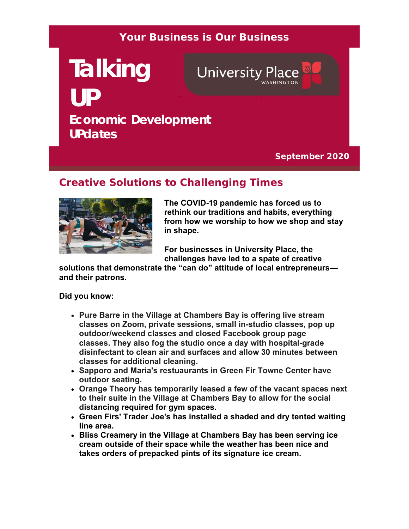#### **Your Business is Our Business**

# **Talking University Place UP Economic Development UPdates**

**September 2020**

# **Creative Solutions to Challenging Times**



**The COVID-19 pandemic has forced us to rethink our traditions and habits, everything from how we worship to how we shop and stay in shape.** 

**For businesses in University Place, the challenges have led to a spate of creative** 

**solutions that demonstrate the "can do" attitude of local entrepreneurs and their patrons.** 

**Did you know:**

- **Pure Barre in the Village at Chambers Bay is offering live stream classes on Zoom, private sessions, small in-studio classes, pop up outdoor/weekend classes and closed Facebook group page classes. They also fog the studio once a day with hospital-grade disinfectant to clean air and surfaces and allow 30 minutes between classes for additional cleaning.**
- **Sapporo and Maria's restuaurants in Green Fir Towne Center have outdoor seating.**
- **Orange Theory has temporarily leased a few of the vacant spaces next to their suite in the Village at Chambers Bay to allow for the social distancing required for gym spaces.**
- **Green Firs' Trader Joe's has installed a shaded and dry tented waiting line area.**
- **Bliss Creamery in the Village at Chambers Bay has been serving ice cream outside of their space while the weather has been nice and takes orders of prepacked pints of its signature ice cream.**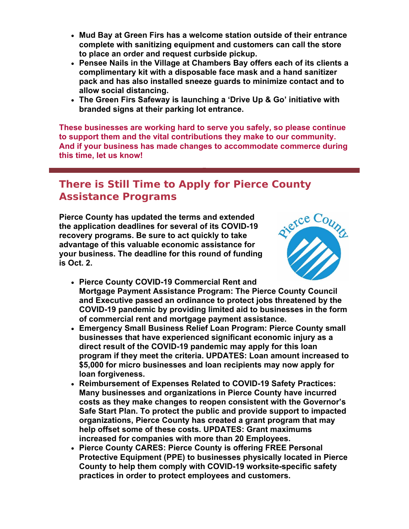- **Mud Bay at Green Firs has a welcome station outside of their entrance complete with sanitizing equipment and customers can call the store to place an order and request curbside pickup.**
- **Pensee Nails in the Village at Chambers Bay offers each of its clients a complimentary kit with a disposable face mask and a hand sanitizer pack and has also installed sneeze guards to minimize contact and to allow social distancing.**
- **The Green Firs Safeway is launching a 'Drive Up & Go' initiative with branded signs at their parking lot entrance.**

**These businesses are working hard to serve you safely, so please continue to support them and the vital contributions they make to our community. And if your business has made changes to accommodate commerce during this time, let us know!**

# **There is Still Time to Apply for Pierce County Assistance Programs**

**Pierce County has updated the terms and extended the application deadlines for several of its COVID-19 recovery programs. Be sure to act quickly to take advantage of this valuable economic assistance for your business. The deadline for this round of funding is Oct. 2.**



- **Pierce County COVID-19 Commercial Rent and Mortgage Payment Assistance Program: The Pierce County Council and Executive passed an ordinance to protect jobs threatened by the COVID-19 pandemic by providing limited aid to businesses in the form of commercial rent and mortgage payment assistance.**
- **Emergency Small Business Relief Loan Program: Pierce County small businesses that have experienced significant economic injury as a direct result of the COVID-19 pandemic may apply for this loan program if they meet the criteria. UPDATES: Loan amount increased to \$5,000 for micro businesses and loan recipients may now apply for loan forgiveness.**
- **Reimbursement of Expenses Related to COVID-19 Safety Practices: Many businesses and organizations in Pierce County have incurred costs as they make changes to reopen consistent with the Governor's Safe Start Plan. To protect the public and provide support to impacted organizations, Pierce County has created a grant program that may help offset some of these costs. UPDATES: Grant maximums increased for companies with more than 20 Employees.**
- **Pierce County CARES: Pierce County is offering FREE Personal Protective Equipment (PPE) to businesses physically located in Pierce County to help them comply with COVID-19 worksite-specific safety practices in order to protect employees and customers.**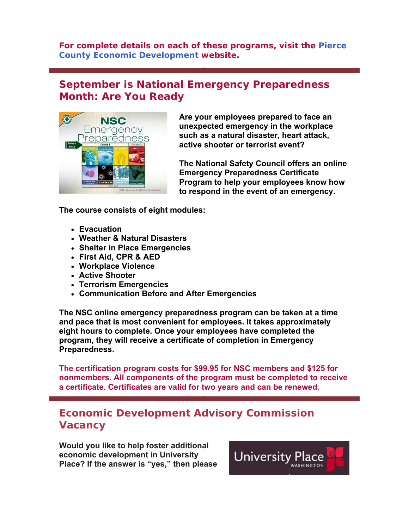**For complete details on each of these programs, visit the Pierce County Economic Development website.**

# **September is National Emergency Preparedness Month: Are You Ready**



**Are your employees prepared to face an unexpected emergency in the workplace such as a natural disaster, heart attack, active shooter or terrorist event?**

**The National Safety Council offers an online Emergency Preparedness Certificate Program to help your employees know how to respond in the event of an emergency.**

**The course consists of eight modules:**

- **Evacuation**
- **Weather & Natural Disasters**
- **Shelter in Place Emergencies**
- **First Aid, CPR & AED**
- **Workplace Violence**
- **Active Shooter**
- **Terrorism Emergencies**
- **Communication Before and After Emergencies**

**The NSC online emergency preparedness program can be taken at a time and pace that is most convenient for employees. It takes approximately eight hours to complete. Once your employees have completed the program, they will receive a certificate of completion in Emergency Preparedness.**

**The certification program costs for \$99.95 for NSC members and \$125 for nonmembers. All components of the program must be completed to receive a certificate. Certificates are valid for two years and can be renewed.**

### **Economic Development Advisory Commission Vacancy**

**Would you like to help foster additional economic development in University Place? If the answer is "yes," then please**